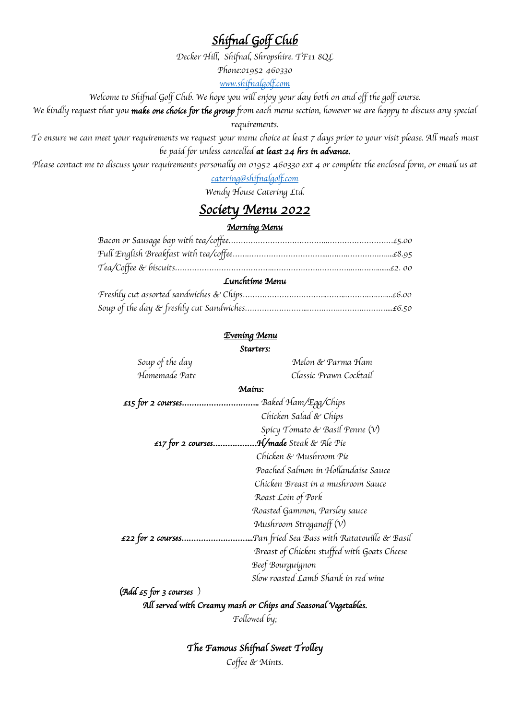### *Shifnal Golf Club*

*Decker Hill, Shifnal, Shropshire. TF11 8QL*

*Phone:01952 460330*

*www.shifnalgolf.com*

*Welcome to Shifnal Golf Club. We hope you will enjoy your day both on and off the golf course.*

*We kindly request that you make one choice for the group from each menu section, however we are happy to discuss any special* 

*requirements.*

*To ensure we can meet your requirements we request your menu choice at least 7 days prior to your visit please. All meals must be paid for unless cancelled at least 24 hrs in advance.*

*Please contact me to discuss your requirements personally on 01952 460330 ext 4 or complete the enclosed form, or email us at*

*catering@shifnalgolf.com*

*Wendy House Catering Ltd.*

## *Society Menu 2022*

#### *Morning Menu*

| Lunchtime Menu |  |
|----------------|--|
|                |  |

#### *Evening Menu*

*Starters:* 

| Soup of the day                  | Melon & Parma Ham                            |
|----------------------------------|----------------------------------------------|
| Homemade Pate                    | Classic Prawn Cocktail                       |
|                                  | Mains:                                       |
|                                  | Baked Ham/Egg/Chips                          |
|                                  | Chicken Salad & Chips                        |
|                                  | Spicy Tomato & Basil Penne (V)               |
| $£17$ for 2 courses              | . <b>H/made</b> Steak & Ale Pie              |
|                                  | Chicken & Mushroom Pie                       |
|                                  | Poached Salmon in Hollandaise Sauce          |
|                                  | Chicken Breast in a mushroom Sauce           |
|                                  | Roast Loin of Pork                           |
|                                  | Roasted Gammon, Parsley sauce                |
|                                  | Mushroom Stroganoff $(V)$                    |
| $£22$ for 2 courses              | .Pan fried Sea Bass with Ratatouille & Basil |
|                                  | Breast of Chicken stuffed with Goats Cheese  |
|                                  | Beef Bourguignon                             |
|                                  | Slow roasted Lamb Shank in red wine          |
| (Add $\epsilon_5$ for 3 courses) |                                              |

*All served with Creamy mash or Chips and Seasonal Vegetables.* 

*Followed by;*

*The Famous Shifnal Sweet Trolley Coffee & Mints.*